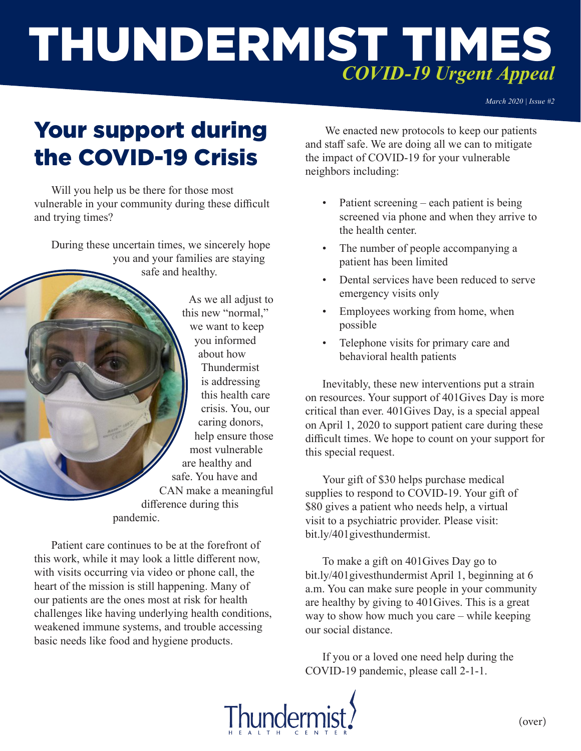# THUNDERMIST TIMES *COVID-19 Urgent Appeal*

*March 2020 | Issue #2*

# Your support during the COVID-19 Crisis

Will you help us be there for those most vulnerable in your community during these difficult and trying times?

During these uncertain times, we sincerely hope you and your families are staying safe and healthy.

> As we all adjust to this new "normal," we want to keep you informed about how Thundermist is addressing this health care crisis. You, our caring donors, help ensure those most vulnerable are healthy and safe. You have and CAN make a meaningful difference during this pandemic.

Patient care continues to be at the forefront of this work, while it may look a little different now, with visits occurring via video or phone call, the heart of the mission is still happening. Many of our patients are the ones most at risk for health challenges like having underlying health conditions, weakened immune systems, and trouble accessing basic needs like food and hygiene products.

 We enacted new protocols to keep our patients and staff safe. We are doing all we can to mitigate the impact of COVID-19 for your vulnerable neighbors including:

- Patient screening each patient is being screened via phone and when they arrive to the health center.
- The number of people accompanying a patient has been limited
- Dental services have been reduced to serve emergency visits only
- Employees working from home, when possible
- Telephone visits for primary care and behavioral health patients

Inevitably, these new interventions put a strain on resources. Your support of 401Gives Day is more critical than ever. 401Gives Day, is a special appeal on April 1, 2020 to support patient care during these difficult times. We hope to count on your support for this special request.

Your gift of \$30 helps purchase medical supplies to respond to COVID-19. Your gift of \$80 gives a patient who needs help, a virtual visit to a psychiatric provider. Please visit: bit.ly/401givesthundermist.

To make a gift on 401Gives Day go to bit.ly/401givesthundermist April 1, beginning at 6 a.m. You can make sure people in your community are healthy by giving to 401Gives. This is a great way to show how much you care – while keeping our social distance.

If you or a loved one need help during the COVID-19 pandemic, please call 2-1-1.